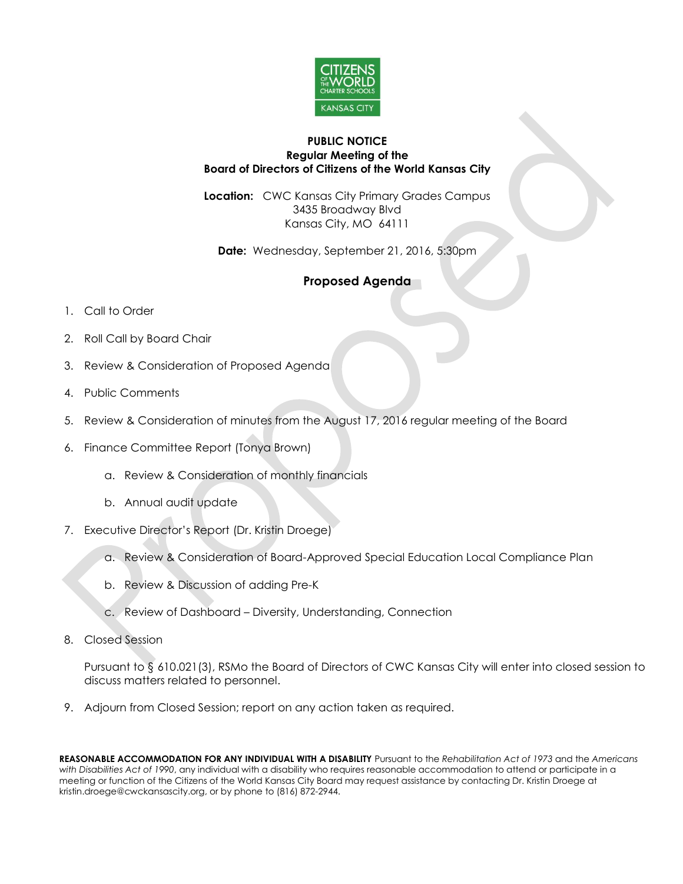

## **PUBLIC NOTICE Regular Meeting of the Board of Directors of Citizens of the World Kansas City**

**Location:** CWC Kansas City Primary Grades Campus 3435 Broadway Blvd Kansas City, MO 64111

**Date:** Wednesday, September 21, 2016, 5:30pm

## **Proposed Agenda**

- 1. Call to Order
- 2. Roll Call by Board Chair
- 3. Review & Consideration of Proposed Agenda
- 4. Public Comments
- 5. Review & Consideration of minutes from the August 17, 2016 regular meeting of the Board
- 6. Finance Committee Report (Tonya Brown)
	- a. Review & Consideration of monthly financials
	- b. Annual audit update
- 7. Executive Director's Report (Dr. Kristin Droege)
	- a. Review & Consideration of Board-Approved Special Education Local Compliance Plan
	- b. Review & Discussion of adding Pre-K
	- c. Review of Dashboard Diversity, Understanding, Connection
- 8. Closed Session

Pursuant to § 610.021(3), RSMo the Board of Directors of CWC Kansas City will enter into closed session to discuss matters related to personnel.

9. Adjourn from Closed Session; report on any action taken as required.

**REASONABLE ACCOMMODATION FOR ANY INDIVIDUAL WITH A DISABILITY** Pursuant to the *Rehabilitation Act of 1973* and the *Americans with Disabilities Act of 1990*, any individual with a disability who requires reasonable accommodation to attend or participate in a meeting or function of the Citizens of the World Kansas City Board may request assistance by contacting Dr. Kristin Droege at kristin.droege@cwckansascity.org, or by phone to (816) 872-2944.